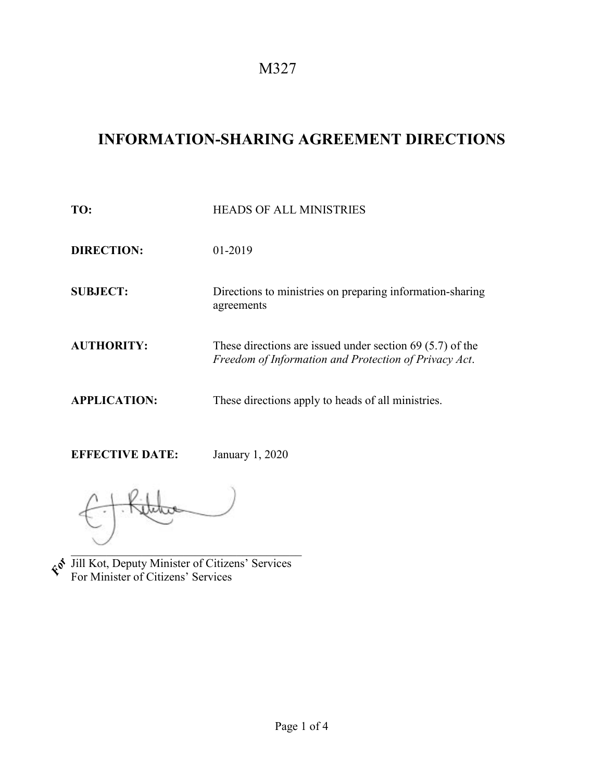M327

## **INFORMATION-SHARING AGREEMENT DIRECTIONS**

| TO:                 | <b>HEADS OF ALL MINISTRIES</b>                                                                                       |
|---------------------|----------------------------------------------------------------------------------------------------------------------|
| <b>DIRECTION:</b>   | 01-2019                                                                                                              |
| <b>SUBJECT:</b>     | Directions to ministries on preparing information-sharing<br>agreements                                              |
| <b>AUTHORITY:</b>   | These directions are issued under section $69$ (5.7) of the<br>Freedom of Information and Protection of Privacy Act. |
| <b>APPLICATION:</b> | These directions apply to heads of all ministries.                                                                   |

**EFFECTIVE DATE:** January 1, 2020

 $\mathcal{L}=\mathcal{L}$ Jill Kot, Deputy Minister of Citizens' Services For Minister of Citizens' Services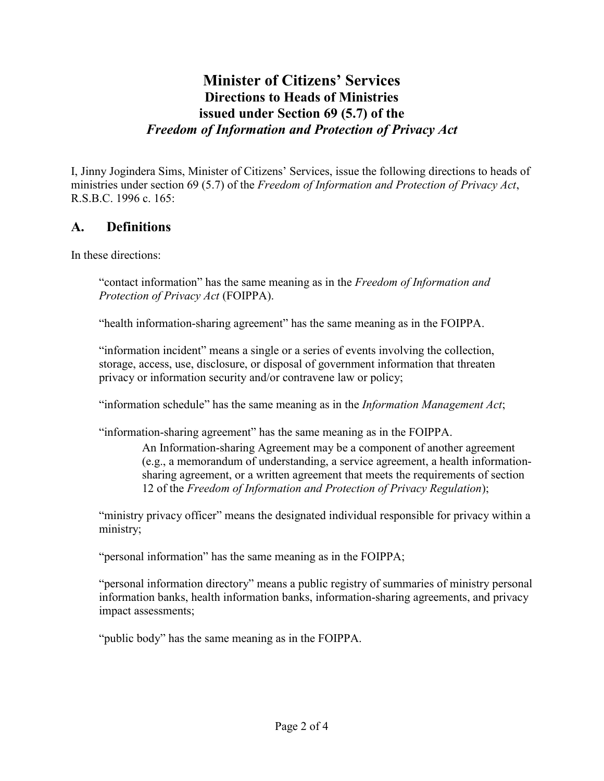## **Minister of Citizens' Services Directions to Heads of Ministries issued under Section 69 (5.7) of the**  *Freedom of Information and Protection of Privacy Act*

I, Jinny Jogindera Sims, Minister of Citizens' Services, issue the following directions to heads of ministries under section 69 (5.7) of the *Freedom of Information and Protection of Privacy Act*, R.S.B.C. 1996 c. 165:

## **A. Definitions**

In these directions:

"contact information" has the same meaning as in the *Freedom of Information and Protection of Privacy Act* (FOIPPA).

"health information-sharing agreement" has the same meaning as in the FOIPPA.

"information incident" means a single or a series of events involving the collection, storage, access, use, disclosure, or disposal of government information that threaten privacy or information security and/or contravene law or policy;

"information schedule" has the same meaning as in the *Information Management Act*;

"information-sharing agreement" has the same meaning as in the FOIPPA.

An Information-sharing Agreement may be a component of another agreement (e.g., a memorandum of understanding, a service agreement, a health informationsharing agreement, or a written agreement that meets the requirements of section 12 of the *Freedom of Information and Protection of Privacy Regulation*);

"ministry privacy officer" means the designated individual responsible for privacy within a ministry;

"personal information" has the same meaning as in the FOIPPA;

"personal information directory" means a public registry of summaries of ministry personal information banks, health information banks, information-sharing agreements, and privacy impact assessments;

"public body" has the same meaning as in the FOIPPA.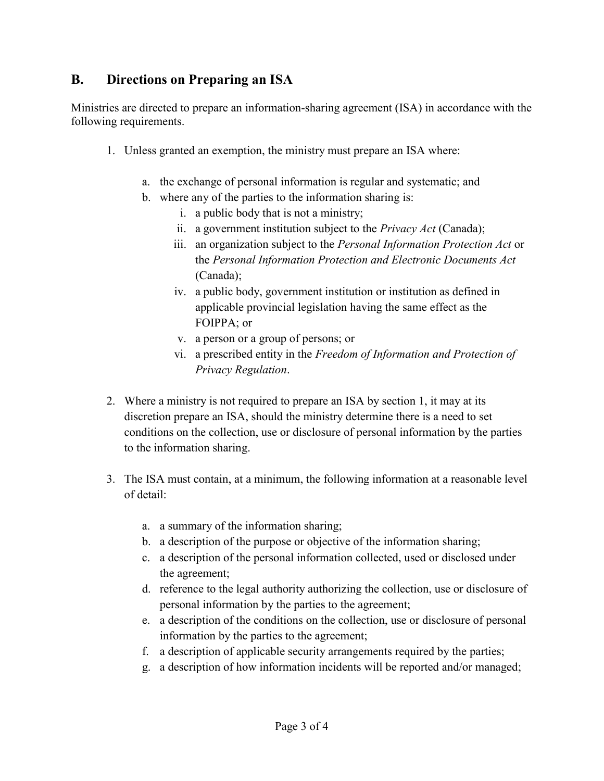## **B. Directions on Preparing an ISA**

Ministries are directed to prepare an information-sharing agreement (ISA) in accordance with the following requirements.

- 1. Unless granted an exemption, the ministry must prepare an ISA where:
	- a. the exchange of personal information is regular and systematic; and
	- b. where any of the parties to the information sharing is:
		- i. a public body that is not a ministry;
		- ii. a government institution subject to the *Privacy Act* (Canada);
		- iii. an organization subject to the *Personal Information Protection Act* or the *Personal Information Protection and Electronic Documents Act* (Canada);
		- iv. a public body, government institution or institution as defined in applicable provincial legislation having the same effect as the FOIPPA; or
		- v. a person or a group of persons; or
		- vi. a prescribed entity in the *Freedom of Information and Protection of Privacy Regulation*.
- 2. Where a ministry is not required to prepare an ISA by section 1, it may at its discretion prepare an ISA, should the ministry determine there is a need to set conditions on the collection, use or disclosure of personal information by the parties to the information sharing.
- 3. The ISA must contain, at a minimum, the following information at a reasonable level of detail:
	- a. a summary of the information sharing;
	- b. a description of the purpose or objective of the information sharing;
	- c. a description of the personal information collected, used or disclosed under the agreement;
	- d. reference to the legal authority authorizing the collection, use or disclosure of personal information by the parties to the agreement;
	- e. a description of the conditions on the collection, use or disclosure of personal information by the parties to the agreement;
	- f. a description of applicable security arrangements required by the parties;
	- g. a description of how information incidents will be reported and/or managed;